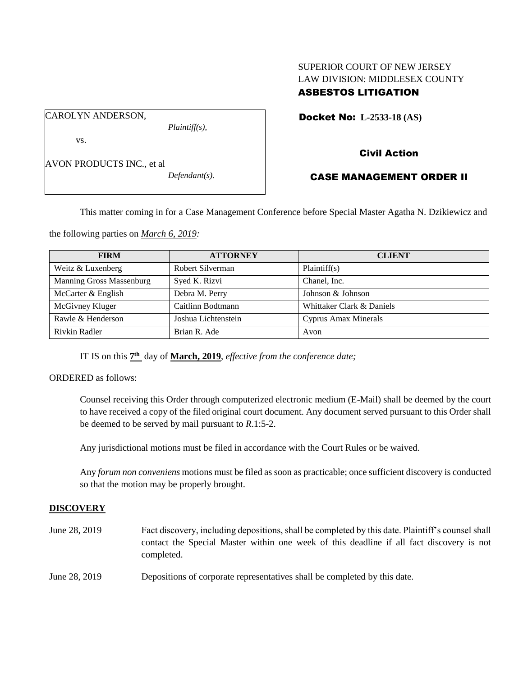## SUPERIOR COURT OF NEW JERSEY LAW DIVISION: MIDDLESEX COUNTY ASBESTOS LITIGATION

Docket No: **L-2533-18 (AS)** 

vs.

CAROLYN ANDERSON,

AVON PRODUCTS INC., et al

*Defendant(s).*

*Plaintiff(s),*

# Civil Action

## CASE MANAGEMENT ORDER II

This matter coming in for a Case Management Conference before Special Master Agatha N. Dzikiewicz and

the following parties on *March 6, 2019:*

| <b>FIRM</b>              | <b>ATTORNEY</b>     | <b>CLIENT</b>               |
|--------------------------|---------------------|-----------------------------|
| Weitz & Luxenberg        | Robert Silverman    | Plaintiff(s)                |
| Manning Gross Massenburg | Syed K. Rizvi       | Chanel, Inc.                |
| McCarter & English       | Debra M. Perry      | Johnson & Johnson           |
| McGivney Kluger          | Caitlinn Bodtmann   | Whittaker Clark & Daniels   |
| Rawle & Henderson        | Joshua Lichtenstein | <b>Cyprus Amax Minerals</b> |
| Rivkin Radler            | Brian R. Ade        | Avon                        |

IT IS on this  $7<sup>th</sup>$  day of **March, 2019**, *effective from the conference date*;

ORDERED as follows:

Counsel receiving this Order through computerized electronic medium (E-Mail) shall be deemed by the court to have received a copy of the filed original court document. Any document served pursuant to this Order shall be deemed to be served by mail pursuant to *R*.1:5-2.

Any jurisdictional motions must be filed in accordance with the Court Rules or be waived.

Any *forum non conveniens* motions must be filed as soon as practicable; once sufficient discovery is conducted so that the motion may be properly brought.

## **DISCOVERY**

June 28, 2019 Fact discovery, including depositions, shall be completed by this date. Plaintiff's counsel shall contact the Special Master within one week of this deadline if all fact discovery is not completed. June 28, 2019 Depositions of corporate representatives shall be completed by this date.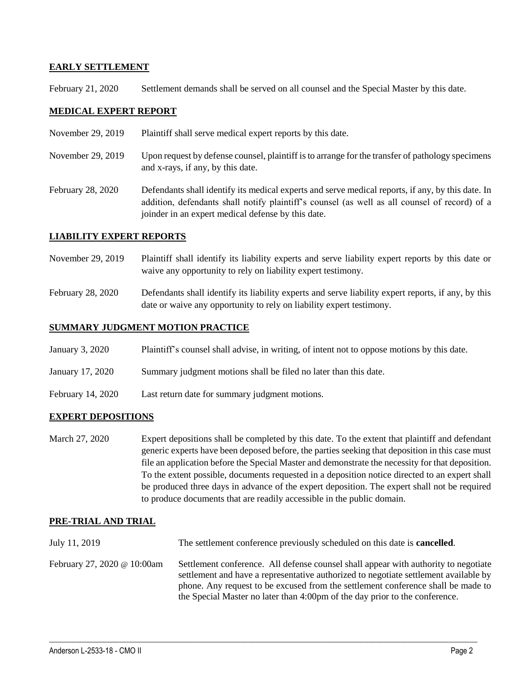### **EARLY SETTLEMENT**

February 21, 2020 Settlement demands shall be served on all counsel and the Special Master by this date.

#### **MEDICAL EXPERT REPORT**

- November 29, 2019 Plaintiff shall serve medical expert reports by this date.
- November 29, 2019 Upon request by defense counsel, plaintiff is to arrange for the transfer of pathology specimens and x-rays, if any, by this date.
- February 28, 2020 Defendants shall identify its medical experts and serve medical reports, if any, by this date. In addition, defendants shall notify plaintiff's counsel (as well as all counsel of record) of a joinder in an expert medical defense by this date.

### **LIABILITY EXPERT REPORTS**

- November 29, 2019 Plaintiff shall identify its liability experts and serve liability expert reports by this date or waive any opportunity to rely on liability expert testimony.
- February 28, 2020 Defendants shall identify its liability experts and serve liability expert reports, if any, by this date or waive any opportunity to rely on liability expert testimony.

### **SUMMARY JUDGMENT MOTION PRACTICE**

- January 3, 2020 Plaintiff's counsel shall advise, in writing, of intent not to oppose motions by this date.
- January 17, 2020 Summary judgment motions shall be filed no later than this date.
- February 14, 2020 Last return date for summary judgment motions.

#### **EXPERT DEPOSITIONS**

March 27, 2020 Expert depositions shall be completed by this date. To the extent that plaintiff and defendant generic experts have been deposed before, the parties seeking that deposition in this case must file an application before the Special Master and demonstrate the necessity for that deposition. To the extent possible, documents requested in a deposition notice directed to an expert shall be produced three days in advance of the expert deposition. The expert shall not be required to produce documents that are readily accessible in the public domain.

#### **PRE-TRIAL AND TRIAL**

July 11, 2019 The settlement conference previously scheduled on this date is **cancelled**. February 27, 2020 @ 10:00am Settlement conference. All defense counsel shall appear with authority to negotiate settlement and have a representative authorized to negotiate settlement available by phone. Any request to be excused from the settlement conference shall be made to the Special Master no later than 4:00pm of the day prior to the conference.

 $\_$  ,  $\_$  ,  $\_$  ,  $\_$  ,  $\_$  ,  $\_$  ,  $\_$  ,  $\_$  ,  $\_$  ,  $\_$  ,  $\_$  ,  $\_$  ,  $\_$  ,  $\_$  ,  $\_$  ,  $\_$  ,  $\_$  ,  $\_$  ,  $\_$  ,  $\_$  ,  $\_$  ,  $\_$  ,  $\_$  ,  $\_$  ,  $\_$  ,  $\_$  ,  $\_$  ,  $\_$  ,  $\_$  ,  $\_$  ,  $\_$  ,  $\_$  ,  $\_$  ,  $\_$  ,  $\_$  ,  $\_$  ,  $\_$  ,